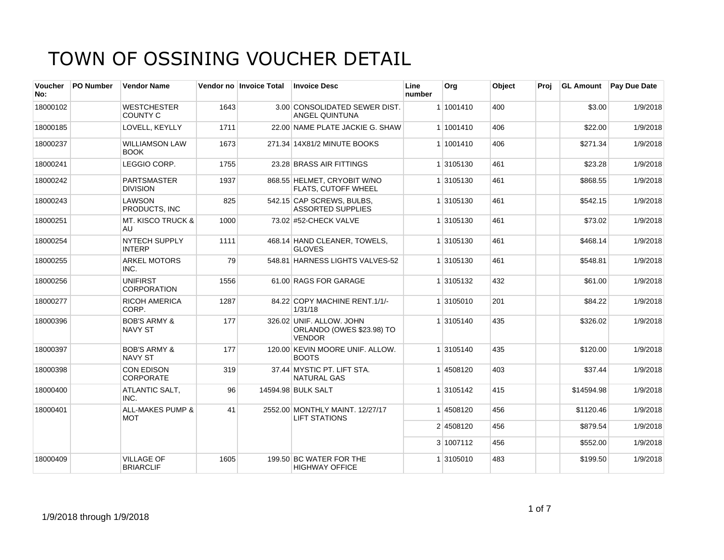| Voucher<br>No: | <b>PO Number</b> | <b>Vendor Name</b>                        |      | Vendor no Invoice Total | <b>Invoice Desc</b>                                                    | Line<br>number | Org       | Object   | Proi     |            | <b>GL Amount</b> Pay Due Date |
|----------------|------------------|-------------------------------------------|------|-------------------------|------------------------------------------------------------------------|----------------|-----------|----------|----------|------------|-------------------------------|
| 18000102       |                  | <b>WESTCHESTER</b><br><b>COUNTY C</b>     | 1643 |                         | 3.00 CONSOLIDATED SEWER DIST.<br><b>ANGEL QUINTUNA</b>                 |                | 1 1001410 | 400      |          | \$3.00     | 1/9/2018                      |
| 18000185       |                  | LOVELL, KEYLLY                            | 1711 |                         | 22.00 NAME PLATE JACKIE G. SHAW                                        |                | 1 1001410 | 406      |          | \$22.00    | 1/9/2018                      |
| 18000237       |                  | <b>WILLIAMSON LAW</b><br><b>BOOK</b>      | 1673 |                         | 271.34 14X81/2 MINUTE BOOKS                                            |                | 1 1001410 | 406      |          | \$271.34   | 1/9/2018                      |
| 18000241       |                  | LEGGIO CORP.                              | 1755 |                         | 23.28 BRASS AIR FITTINGS                                               |                | 1 3105130 | 461      |          | \$23.28    | 1/9/2018                      |
| 18000242       |                  | <b>PARTSMASTER</b><br><b>DIVISION</b>     | 1937 |                         | 868.55 HELMET, CRYOBIT W/NO<br>FLATS, CUTOFF WHEEL                     |                | 1 3105130 | 461      |          | \$868.55   | 1/9/2018                      |
| 18000243       |                  | <b>LAWSON</b><br>PRODUCTS. INC            | 825  |                         | 542.15 CAP SCREWS, BULBS,<br><b>ASSORTED SUPPLIES</b>                  |                | 1 3105130 | 461      |          | \$542.15   | 1/9/2018                      |
| 18000251       |                  | <b>MT. KISCO TRUCK &amp;</b><br>AU.       | 1000 |                         | 73.02 #52-CHECK VALVE                                                  |                | 1 3105130 | 461      |          | \$73.02    | 1/9/2018                      |
| 18000254       |                  | <b>NYTECH SUPPLY</b><br><b>INTERP</b>     | 1111 |                         | 468.14 HAND CLEANER, TOWELS,<br><b>GLOVES</b>                          |                | 1 3105130 | 461      |          | \$468.14   | 1/9/2018                      |
| 18000255       |                  | <b>ARKEL MOTORS</b><br>INC.               | 79   |                         | 548.81 HARNESS LIGHTS VALVES-52                                        |                | 1 3105130 | 461      |          | \$548.81   | 1/9/2018                      |
| 18000256       |                  | <b>UNIFIRST</b><br><b>CORPORATION</b>     | 1556 |                         | 61.00 RAGS FOR GARAGE                                                  |                | 1 3105132 | 432      |          | \$61.00    | 1/9/2018                      |
| 18000277       |                  | <b>RICOH AMERICA</b><br>CORP.             | 1287 |                         | 84.22 COPY MACHINE RENT.1/1/-<br>1/31/18                               |                | 1 3105010 | 201      |          | \$84.22    | 1/9/2018                      |
| 18000396       |                  | <b>BOB'S ARMY &amp;</b><br><b>NAVY ST</b> | 177  |                         | 326.02 UNIF. ALLOW. JOHN<br>ORLANDO (OWES \$23.98) TO<br><b>VENDOR</b> |                | 1 3105140 | 435      |          | \$326.02   | 1/9/2018                      |
| 18000397       |                  | <b>BOB'S ARMY &amp;</b><br><b>NAVY ST</b> | 177  |                         | 120.00 KEVIN MOORE UNIF. ALLOW.<br><b>BOOTS</b>                        |                | 1 3105140 | 435      |          | \$120.00   | 1/9/2018                      |
| 18000398       |                  | <b>CON EDISON</b><br><b>CORPORATE</b>     | 319  |                         | 37.44 MYSTIC PT. LIFT STA.<br><b>NATURAL GAS</b>                       |                | 1 4508120 | 403      |          | \$37.44    | 1/9/2018                      |
| 18000400       |                  | ATLANTIC SALT,<br>INC.                    | 96   |                         | 14594.98 BULK SALT                                                     |                | 1 3105142 | 415      |          | \$14594.98 | 1/9/2018                      |
| 18000401       |                  | <b>ALL-MAKES PUMP &amp;</b><br><b>MOT</b> | 41   |                         | 2552.00 MONTHLY MAINT, 12/27/17<br><b>LIFT STATIONS</b>                |                | 14508120  | 456      |          | \$1120.46  | 1/9/2018                      |
|                |                  |                                           |      |                         | 2 4508120                                                              | 456            |           | \$879.54 | 1/9/2018 |            |                               |
|                |                  |                                           |      |                         |                                                                        |                | 3 1007112 | 456      |          | \$552.00   | 1/9/2018                      |
| 18000409       |                  | <b>VILLAGE OF</b><br><b>BRIARCLIF</b>     | 1605 |                         | 199.50 BC WATER FOR THE<br><b>HIGHWAY OFFICE</b>                       |                | 1 3105010 | 483      |          | \$199.50   | 1/9/2018                      |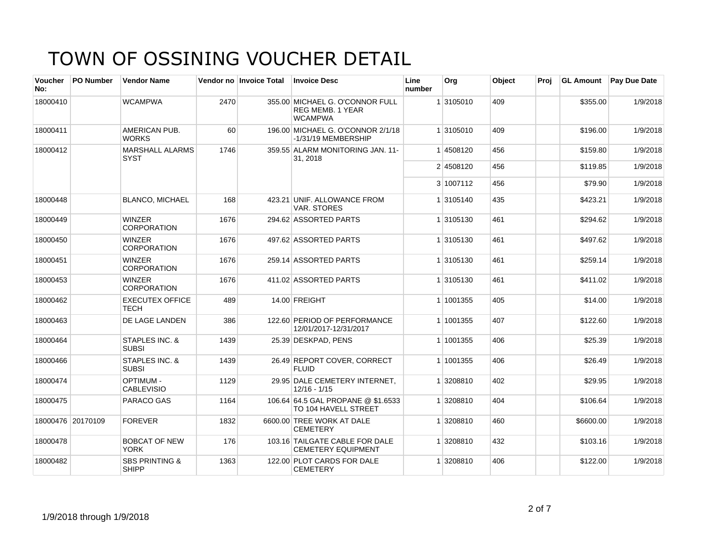| <b>Voucher</b><br>No: | PO Number         | <b>Vendor Name</b>                        |      | Vendor no Invoice Total | <b>Invoice Desc</b>                                                          | Line<br>number | Org       | Object | Proj | <b>GL Amount</b> | Pay Due Date |
|-----------------------|-------------------|-------------------------------------------|------|-------------------------|------------------------------------------------------------------------------|----------------|-----------|--------|------|------------------|--------------|
| 18000410              |                   | <b>WCAMPWA</b>                            | 2470 |                         | 355.00 MICHAEL G. O'CONNOR FULL<br><b>REG MEMB, 1 YEAR</b><br><b>WCAMPWA</b> |                | 1 3105010 | 409    |      | \$355.00         | 1/9/2018     |
| 18000411              |                   | AMERICAN PUB.<br><b>WORKS</b>             | 60   |                         | 196.00 MICHAEL G. O'CONNOR 2/1/18<br>-1/31/19 MEMBERSHIP                     |                | 1 3105010 | 409    |      | \$196.00         | 1/9/2018     |
| 18000412              |                   | <b>MARSHALL ALARMS</b><br>SYST            | 1746 |                         | 359.55 ALARM MONITORING JAN. 11-<br>31, 2018                                 |                | 1 4508120 | 456    |      | \$159.80         | 1/9/2018     |
|                       |                   |                                           |      |                         |                                                                              |                | 2 4508120 | 456    |      | \$119.85         | 1/9/2018     |
|                       |                   |                                           |      |                         |                                                                              |                | 3 1007112 | 456    |      | \$79.90          | 1/9/2018     |
| 18000448              |                   | <b>BLANCO, MICHAEL</b>                    | 168  |                         | 423.21 UNIF, ALLOWANCE FROM<br>VAR. STORES                                   |                | 1 3105140 | 435    |      | \$423.21         | 1/9/2018     |
| 18000449              |                   | <b>WINZER</b><br><b>CORPORATION</b>       | 1676 |                         | 294.62 ASSORTED PARTS                                                        |                | 1 3105130 | 461    |      | \$294.62         | 1/9/2018     |
| 18000450              |                   | <b>WINZER</b><br><b>CORPORATION</b>       | 1676 |                         | 497.62 ASSORTED PARTS                                                        |                | 1 3105130 | 461    |      | \$497.62         | 1/9/2018     |
| 18000451              |                   | <b>WINZER</b><br><b>CORPORATION</b>       | 1676 |                         | 259.14 ASSORTED PARTS                                                        |                | 1 3105130 | 461    |      | \$259.14         | 1/9/2018     |
| 18000453              |                   | <b>WINZER</b><br><b>CORPORATION</b>       | 1676 |                         | 411.02 ASSORTED PARTS                                                        |                | 1 3105130 | 461    |      | \$411.02         | 1/9/2018     |
| 18000462              |                   | <b>EXECUTEX OFFICE</b><br><b>TECH</b>     | 489  |                         | 14.00 FREIGHT                                                                |                | 1 1001355 | 405    |      | \$14.00          | 1/9/2018     |
| 18000463              |                   | DE LAGE LANDEN                            | 386  |                         | 122.60 PERIOD OF PERFORMANCE<br>12/01/2017-12/31/2017                        |                | 1 1001355 | 407    |      | \$122.60         | 1/9/2018     |
| 18000464              |                   | STAPLES INC. &<br><b>SUBSI</b>            | 1439 |                         | 25.39 DESKPAD, PENS                                                          |                | 1 1001355 | 406    |      | \$25.39          | 1/9/2018     |
| 18000466              |                   | STAPLES INC. &<br><b>SUBSI</b>            | 1439 |                         | 26.49 REPORT COVER, CORRECT<br><b>FLUID</b>                                  |                | 1 1001355 | 406    |      | \$26.49          | 1/9/2018     |
| 18000474              |                   | <b>OPTIMUM -</b><br><b>CABLEVISIO</b>     | 1129 |                         | 29.95 DALE CEMETERY INTERNET,<br>$12/16 - 1/15$                              |                | 1 3208810 | 402    |      | \$29.95          | 1/9/2018     |
| 18000475              |                   | PARACO GAS                                | 1164 |                         | 106.64 64.5 GAL PROPANE @ \$1.6533<br>TO 104 HAVELL STREET                   |                | 1 3208810 | 404    |      | \$106.64         | 1/9/2018     |
|                       | 18000476 20170109 | <b>FOREVER</b>                            | 1832 |                         | 6600.00 TREE WORK AT DALE<br><b>CEMETERY</b>                                 |                | 1 3208810 | 460    |      | \$6600.00        | 1/9/2018     |
| 18000478              |                   | <b>BOBCAT OF NEW</b><br><b>YORK</b>       | 176  |                         | 103.16 TAILGATE CABLE FOR DALE<br><b>CEMETERY EQUIPMENT</b>                  |                | 1 3208810 | 432    |      | \$103.16         | 1/9/2018     |
| 18000482              |                   | <b>SBS PRINTING &amp;</b><br><b>SHIPP</b> | 1363 |                         | 122.00 PLOT CARDS FOR DALE<br><b>CEMETERY</b>                                |                | 1 3208810 | 406    |      | \$122.00         | 1/9/2018     |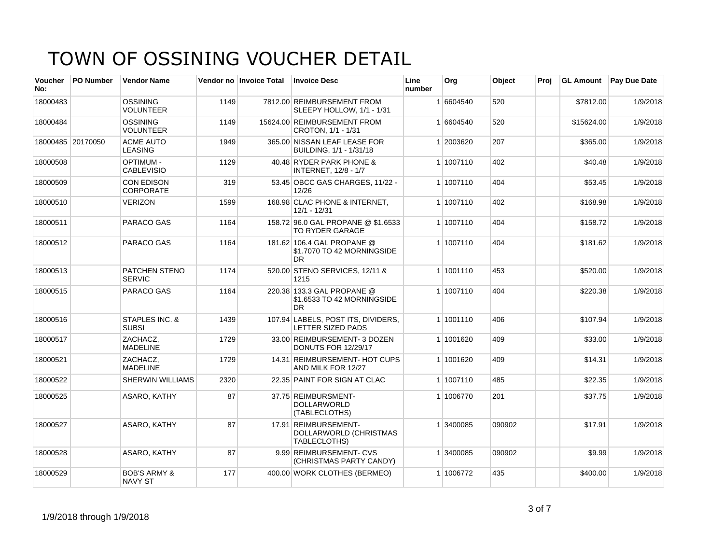| <b>Voucher</b><br>No: | PO Number         | <b>Vendor Name</b>                        |      | Vendor no Invoice Total | <b>Invoice Desc</b>                                                   | Line<br>number | Org       | Object | Proj | <b>GL Amount</b> | Pay Due Date |
|-----------------------|-------------------|-------------------------------------------|------|-------------------------|-----------------------------------------------------------------------|----------------|-----------|--------|------|------------------|--------------|
| 18000483              |                   | <b>OSSINING</b><br><b>VOLUNTEER</b>       | 1149 |                         | 7812.00 REIMBURSEMENT FROM<br>SLEEPY HOLLOW, 1/1 - 1/31               |                | 1 6604540 | 520    |      | \$7812.00        | 1/9/2018     |
| 18000484              |                   | <b>OSSINING</b><br><b>VOLUNTEER</b>       | 1149 |                         | 15624.00 REIMBURSEMENT FROM<br>CROTON, 1/1 - 1/31                     |                | 1 6604540 | 520    |      | \$15624.00       | 1/9/2018     |
|                       | 18000485 20170050 | <b>ACME AUTO</b><br><b>LEASING</b>        | 1949 |                         | 365.00 NISSAN LEAF LEASE FOR<br>BUILDING, 1/1 - 1/31/18               |                | 1 2003620 | 207    |      | \$365.00         | 1/9/2018     |
| 18000508              |                   | <b>OPTIMUM -</b><br><b>CABLEVISIO</b>     | 1129 |                         | 40.48 RYDER PARK PHONE &<br><b>INTERNET, 12/8 - 1/7</b>               |                | 1 1007110 | 402    |      | \$40.48          | 1/9/2018     |
| 18000509              |                   | CON EDISON<br><b>CORPORATE</b>            | 319  |                         | 53.45 OBCC GAS CHARGES, 11/22 -<br>12/26                              |                | 1 1007110 | 404    |      | \$53.45          | 1/9/2018     |
| 18000510              |                   | <b>VERIZON</b>                            | 1599 |                         | 168.98 CLAC PHONE & INTERNET,<br>$12/1 - 12/31$                       |                | 1 1007110 | 402    |      | \$168.98         | 1/9/2018     |
| 18000511              |                   | PARACO GAS                                | 1164 |                         | 158.72 96.0 GAL PROPANE @ \$1.6533<br><b>TO RYDER GARAGE</b>          |                | 1 1007110 | 404    |      | \$158.72         | 1/9/2018     |
| 18000512              |                   | PARACO GAS                                | 1164 |                         | 181.62 106.4 GAL PROPANE @<br>\$1.7070 TO 42 MORNINGSIDE<br><b>DR</b> |                | 1 1007110 | 404    |      | \$181.62         | 1/9/2018     |
| 18000513              |                   | <b>PATCHEN STENO</b><br><b>SERVIC</b>     | 1174 |                         | 520.00 STENO SERVICES, 12/11 &<br>1215                                |                | 1 1001110 | 453    |      | \$520.00         | 1/9/2018     |
| 18000515              |                   | PARACO GAS                                | 1164 |                         | 220.38 133.3 GAL PROPANE @<br>\$1.6533 TO 42 MORNINGSIDE<br><b>DR</b> |                | 1 1007110 | 404    |      | \$220.38         | 1/9/2018     |
| 18000516              |                   | STAPLES INC. &<br><b>SUBSI</b>            | 1439 |                         | 107.94 LABELS, POST ITS, DIVIDERS,<br><b>LETTER SIZED PADS</b>        |                | 1 1001110 | 406    |      | \$107.94         | 1/9/2018     |
| 18000517              |                   | ZACHACZ.<br><b>MADELINE</b>               | 1729 |                         | 33.00 REIMBURSEMENT- 3 DOZEN<br>DONUTS FOR 12/29/17                   |                | 1 1001620 | 409    |      | \$33.00          | 1/9/2018     |
| 18000521              |                   | ZACHACZ,<br><b>MADELINE</b>               | 1729 |                         | 14.31 REIMBURSEMENT- HOT CUPS<br>AND MILK FOR 12/27                   |                | 1 1001620 | 409    |      | \$14.31          | 1/9/2018     |
| 18000522              |                   | <b>SHERWIN WILLIAMS</b>                   | 2320 |                         | 22.35 PAINT FOR SIGN AT CLAC                                          |                | 1 1007110 | 485    |      | \$22.35          | 1/9/2018     |
| 18000525              |                   | ASARO, KATHY                              | 87   |                         | 37.75 REIMBURSMENT-<br><b>DOLLARWORLD</b><br>(TABLECLOTHS)            |                | 1 1006770 | 201    |      | \$37.75          | 1/9/2018     |
| 18000527              |                   | ASARO, KATHY                              | 87   |                         | 17.91 REIMBURSEMENT-<br>DOLLARWORLD (CHRISTMAS<br>TABLECLOTHS)        |                | 1 3400085 | 090902 |      | \$17.91          | 1/9/2018     |
| 18000528              |                   | ASARO, KATHY                              | 87   |                         | 9.99 REIMBURSEMENT- CVS<br>(CHRISTMAS PARTY CANDY)                    |                | 1 3400085 | 090902 |      | \$9.99           | 1/9/2018     |
| 18000529              |                   | <b>BOB'S ARMY &amp;</b><br><b>NAVY ST</b> | 177  |                         | 400.00 WORK CLOTHES (BERMEO)                                          |                | 1 1006772 | 435    |      | \$400.00         | 1/9/2018     |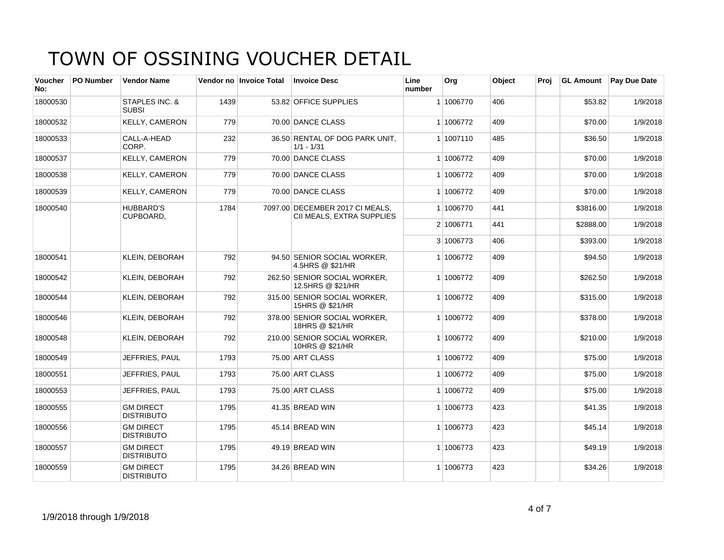| <b>Voucher</b><br>No: | <b>PO Number</b> | <b>Vendor Name</b>                    |      | Vendor no Invoice Total | <b>Invoice Desc</b>                                          | Line<br>number | Org       | Object | Proi |           | <b>GL Amount</b> Pay Due Date |
|-----------------------|------------------|---------------------------------------|------|-------------------------|--------------------------------------------------------------|----------------|-----------|--------|------|-----------|-------------------------------|
| 18000530              |                  | STAPLES INC. &<br><b>SUBSI</b>        | 1439 |                         | 53.82 OFFICE SUPPLIES                                        |                | 1 1006770 | 406    |      | \$53.82   | 1/9/2018                      |
| 18000532              |                  | <b>KELLY, CAMERON</b>                 | 779  |                         | 70.00 DANCE CLASS                                            |                | 1 1006772 | 409    |      | \$70.00   | 1/9/2018                      |
| 18000533              |                  | CALL-A-HEAD<br>CORP.                  | 232  |                         | 36.50 RENTAL OF DOG PARK UNIT,<br>$1/1 - 1/31$               |                | 1 1007110 | 485    |      | \$36.50   | 1/9/2018                      |
| 18000537              |                  | <b>KELLY, CAMERON</b>                 | 779  |                         | 70.00 DANCE CLASS                                            |                | 1 1006772 | 409    |      | \$70.00   | 1/9/2018                      |
| 18000538              |                  | <b>KELLY, CAMERON</b>                 | 779  |                         | 70.00 DANCE CLASS                                            |                | 1 1006772 | 409    |      | \$70.00   | 1/9/2018                      |
| 18000539              |                  | <b>KELLY, CAMERON</b>                 | 779  |                         | 70.00 DANCE CLASS                                            |                | 1 1006772 | 409    |      | \$70.00   | 1/9/2018                      |
| 18000540              |                  | <b>HUBBARD'S</b><br>CUPBOARD,         | 1784 |                         | 7097.00 DECEMBER 2017 CI MEALS,<br>CII MEALS, EXTRA SUPPLIES |                | 1 1006770 | 441    |      | \$3816.00 | 1/9/2018                      |
|                       |                  |                                       |      |                         |                                                              |                | 2 1006771 | 441    |      | \$2888.00 | 1/9/2018                      |
|                       |                  |                                       |      |                         |                                                              |                | 3 1006773 | 406    |      | \$393.00  | 1/9/2018                      |
| 18000541              |                  | <b>KLEIN, DEBORAH</b>                 | 792  |                         | 94.50 SENIOR SOCIAL WORKER.<br>4.5HRS @ \$21/HR              |                | 1 1006772 | 409    |      | \$94.50   | 1/9/2018                      |
| 18000542              |                  | <b>KLEIN, DEBORAH</b>                 | 792  |                         | 262.50 SENIOR SOCIAL WORKER,<br>12.5HRS @ \$21/HR            |                | 1 1006772 | 409    |      | \$262.50  | 1/9/2018                      |
| 18000544              |                  | KLEIN, DEBORAH                        | 792  |                         | 315.00 SENIOR SOCIAL WORKER,<br>15HRS @ \$21/HR              |                | 1 1006772 | 409    |      | \$315.00  | 1/9/2018                      |
| 18000546              |                  | <b>KLEIN. DEBORAH</b>                 | 792  |                         | 378.00 SENIOR SOCIAL WORKER.<br>18HRS @ \$21/HR              |                | 1 1006772 | 409    |      | \$378.00  | 1/9/2018                      |
| 18000548              |                  | <b>KLEIN, DEBORAH</b>                 | 792  |                         | 210.00 SENIOR SOCIAL WORKER.<br>10HRS @ \$21/HR              |                | 1 1006772 | 409    |      | \$210.00  | 1/9/2018                      |
| 18000549              |                  | JEFFRIES, PAUL                        | 1793 |                         | 75.00 ART CLASS                                              |                | 1 1006772 | 409    |      | \$75.00   | 1/9/2018                      |
| 18000551              |                  | JEFFRIES, PAUL                        | 1793 |                         | 75.00 ART CLASS                                              |                | 1 1006772 | 409    |      | \$75.00   | 1/9/2018                      |
| 18000553              |                  | JEFFRIES, PAUL                        | 1793 |                         | 75.00 ART CLASS                                              |                | 1 1006772 | 409    |      | \$75.00   | 1/9/2018                      |
| 18000555              |                  | <b>GM DIRECT</b><br><b>DISTRIBUTO</b> | 1795 |                         | 41.35 BREAD WIN                                              |                | 1 1006773 | 423    |      | \$41.35   | 1/9/2018                      |
| 18000556              |                  | <b>GM DIRECT</b><br><b>DISTRIBUTO</b> | 1795 |                         | 45.14 BREAD WIN                                              |                | 1 1006773 | 423    |      | \$45.14   | 1/9/2018                      |
| 18000557              |                  | <b>GM DIRECT</b><br><b>DISTRIBUTO</b> | 1795 |                         | 49.19 BREAD WIN                                              |                | 1 1006773 | 423    |      | \$49.19   | 1/9/2018                      |
| 18000559              |                  | <b>GM DIRECT</b><br><b>DISTRIBUTO</b> | 1795 |                         | 34.26 BREAD WIN                                              |                | 1 1006773 | 423    |      | \$34.26   | 1/9/2018                      |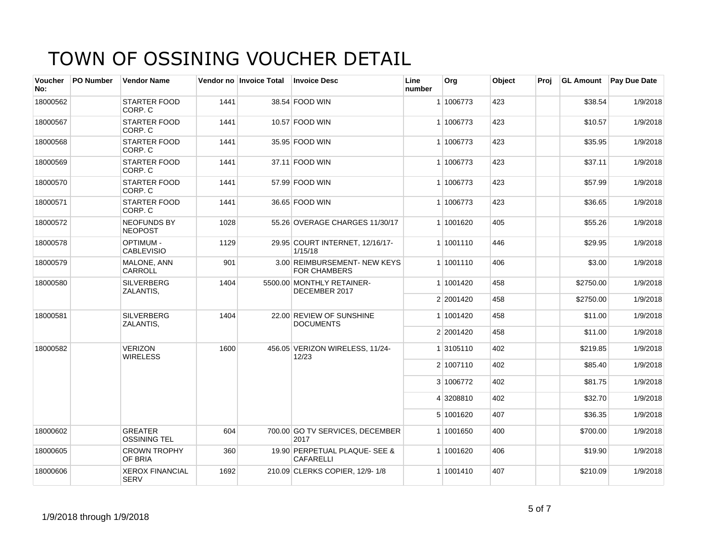| Voucher<br>No: | <b>PO Number</b> | <b>Vendor Name</b>                    |      | Vendor no Invoice Total | <b>Invoice Desc</b>                                 | Line<br>number | Org       | Object | Proj |           | <b>GL Amount</b> Pay Due Date |
|----------------|------------------|---------------------------------------|------|-------------------------|-----------------------------------------------------|----------------|-----------|--------|------|-----------|-------------------------------|
| 18000562       |                  | <b>STARTER FOOD</b><br>CORP. C        | 1441 |                         | 38.54 FOOD WIN                                      |                | 1 1006773 | 423    |      | \$38.54   | 1/9/2018                      |
| 18000567       |                  | <b>STARTER FOOD</b><br>CORP. C        | 1441 |                         | 10.57 FOOD WIN                                      |                | 1 1006773 | 423    |      | \$10.57   | 1/9/2018                      |
| 18000568       |                  | <b>STARTER FOOD</b><br>CORP. C        | 1441 |                         | 35.95 FOOD WIN                                      |                | 1 1006773 | 423    |      | \$35.95   | 1/9/2018                      |
| 18000569       |                  | <b>STARTER FOOD</b><br>CORP. C        | 1441 |                         | 37.11 FOOD WIN                                      |                | 1 1006773 | 423    |      | \$37.11   | 1/9/2018                      |
| 18000570       |                  | <b>STARTER FOOD</b><br>CORP. C        | 1441 |                         | 57.99 FOOD WIN                                      |                | 1 1006773 | 423    |      | \$57.99   | 1/9/2018                      |
| 18000571       |                  | <b>STARTER FOOD</b><br>CORP. C        | 1441 |                         | 36.65 FOOD WIN                                      |                | 1 1006773 | 423    |      | \$36.65   | 1/9/2018                      |
| 18000572       |                  | <b>NEOFUNDS BY</b><br><b>NEOPOST</b>  | 1028 |                         | 55.26 OVERAGE CHARGES 11/30/17                      |                | 1 1001620 | 405    |      | \$55.26   | 1/9/2018                      |
| 18000578       |                  | <b>OPTIMUM -</b><br><b>CABLEVISIO</b> | 1129 |                         | 29.95 COURT INTERNET, 12/16/17-<br>1/15/18          |                | 1 1001110 | 446    |      | \$29.95   | 1/9/2018                      |
| 18000579       |                  | MALONE, ANN<br><b>CARROLL</b>         | 901  |                         | 3.00 REIMBURSEMENT- NEW KEYS<br><b>FOR CHAMBERS</b> |                | 1 1001110 | 406    |      | \$3.00    | 1/9/2018                      |
| 18000580       |                  | <b>SILVERBERG</b><br>ZALANTIS,        | 1404 |                         | 5500.00 MONTHLY RETAINER-<br>DECEMBER 2017          |                | 1 1001420 | 458    |      | \$2750.00 | 1/9/2018                      |
|                |                  |                                       |      |                         |                                                     |                | 2 2001420 | 458    |      | \$2750.00 | 1/9/2018                      |
| 18000581       |                  | <b>SILVERBERG</b><br>ZALANTIS,        | 1404 |                         | 22.00 REVIEW OF SUNSHINE<br><b>DOCUMENTS</b>        |                | 1 1001420 | 458    |      | \$11.00   | 1/9/2018                      |
|                |                  |                                       |      |                         |                                                     |                | 2 2001420 | 458    |      | \$11.00   | 1/9/2018                      |
| 18000582       |                  | <b>VERIZON</b><br><b>WIRELESS</b>     | 1600 |                         | 456.05 VERIZON WIRELESS, 11/24-<br>12/23            |                | 1 3105110 | 402    |      | \$219.85  | 1/9/2018                      |
|                |                  |                                       |      |                         |                                                     |                | 2 1007110 | 402    |      | \$85.40   | 1/9/2018                      |
|                |                  |                                       |      |                         |                                                     |                | 3 1006772 | 402    |      | \$81.75   | 1/9/2018                      |
|                |                  |                                       |      |                         |                                                     |                | 4 3208810 | 402    |      | \$32.70   | 1/9/2018                      |
|                |                  |                                       |      |                         |                                                     |                | 5 1001620 | 407    |      | \$36.35   | 1/9/2018                      |
| 18000602       |                  | <b>GREATER</b><br><b>OSSINING TEL</b> | 604  |                         | 700.00 GO TV SERVICES, DECEMBER<br>2017             |                | 1 1001650 | 400    |      | \$700.00  | 1/9/2018                      |
| 18000605       |                  | <b>CROWN TROPHY</b><br><b>OF BRIA</b> | 360  |                         | 19.90 PERPETUAL PLAQUE- SEE &<br><b>CAFARELLI</b>   |                | 1 1001620 | 406    |      | \$19.90   | 1/9/2018                      |
| 18000606       |                  | <b>XEROX FINANCIAL</b><br><b>SERV</b> | 1692 |                         | 210.09 CLERKS COPIER, 12/9-1/8                      |                | 1 1001410 | 407    |      | \$210.09  | 1/9/2018                      |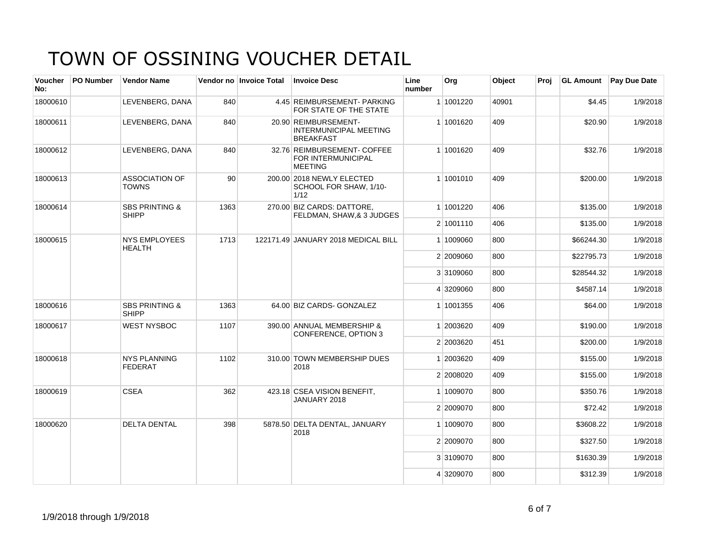| <b>Voucher</b><br>No: | PO Number | <b>Vendor Name</b>                        |      | Vendor no Invoice Total | <b>Invoice Desc</b>                                                       | Line<br>number | Org       | <b>Object</b> | Proi |            | <b>GL Amount</b> Pay Due Date |
|-----------------------|-----------|-------------------------------------------|------|-------------------------|---------------------------------------------------------------------------|----------------|-----------|---------------|------|------------|-------------------------------|
| 18000610              |           | LEVENBERG, DANA                           | 840  |                         | 4.45 REIMBURSEMENT- PARKING<br>FOR STATE OF THE STATE                     |                | 1 1001220 | 40901         |      | \$4.45     | 1/9/2018                      |
| 18000611              |           | LEVENBERG, DANA                           | 840  |                         | 20.90 REIMBURSEMENT-<br><b>INTERMUNICIPAL MEETING</b><br><b>BREAKFAST</b> |                | 1 1001620 | 409           |      | \$20.90    | 1/9/2018                      |
| 18000612              |           | LEVENBERG, DANA                           | 840  |                         | 32.76 REIMBURSEMENT- COFFEE<br>FOR INTERMUNICIPAL<br><b>MEETING</b>       |                | 1 1001620 | 409           |      | \$32.76    | 1/9/2018                      |
| 18000613              |           | <b>ASSOCIATION OF</b><br><b>TOWNS</b>     | 90   |                         | 200.00 2018 NEWLY ELECTED<br>SCHOOL FOR SHAW, 1/10-<br>1/12               |                | 1 1001010 | 409           |      | \$200.00   | 1/9/2018                      |
| 18000614              |           | <b>SBS PRINTING &amp;</b><br><b>SHIPP</b> | 1363 |                         | 270.00 BIZ CARDS: DATTORE.<br>FELDMAN, SHAW, & 3 JUDGES                   |                | 1 1001220 | 406           |      | \$135.00   | 1/9/2018                      |
|                       |           |                                           |      |                         |                                                                           |                | 2 1001110 | 406           |      | \$135.00   | 1/9/2018                      |
| 18000615              |           | <b>NYS EMPLOYEES</b><br>HEALTH            |      | 1713                    | 122171.49 JANUARY 2018 MEDICAL BILL                                       |                | 1 1009060 | 800           |      | \$66244.30 | 1/9/2018                      |
|                       |           |                                           |      |                         |                                                                           |                | 2 2009060 | 800           |      | \$22795.73 | 1/9/2018                      |
|                       |           |                                           |      |                         |                                                                           |                | 3 3109060 | 800           |      | \$28544.32 | 1/9/2018                      |
|                       |           |                                           |      |                         |                                                                           |                | 4 3209060 | 800           |      | \$4587.14  | 1/9/2018                      |
| 18000616              |           | <b>SBS PRINTING &amp;</b><br><b>SHIPP</b> | 1363 |                         | 64.00 BIZ CARDS- GONZALEZ                                                 |                | 1 1001355 | 406           |      | \$64.00    | 1/9/2018                      |
| 18000617              |           | <b>WEST NYSBOC</b>                        | 1107 |                         | 390.00 ANNUAL MEMBERSHIP &<br>CONFERENCE, OPTION 3                        |                | 1 2003620 | 409           |      | \$190.00   | 1/9/2018                      |
|                       |           |                                           |      |                         |                                                                           |                | 2 2003620 | 451           |      | \$200.00   | 1/9/2018                      |
| 18000618              |           | <b>NYS PLANNING</b><br><b>FEDERAT</b>     | 1102 |                         | 310.00 TOWN MEMBERSHIP DUES<br>2018                                       |                | 1 2003620 | 409           |      | \$155.00   | 1/9/2018                      |
|                       |           |                                           |      |                         |                                                                           |                | 2 2008020 | 409           |      | \$155.00   | 1/9/2018                      |
| 18000619              |           | <b>CSEA</b>                               | 362  |                         | 423.18 CSEA VISION BENEFIT,<br>JANUARY 2018                               |                | 1 1009070 | 800           |      | \$350.76   | 1/9/2018                      |
|                       |           |                                           |      |                         |                                                                           |                | 2 2009070 | 800           |      | \$72.42    | 1/9/2018                      |
| 18000620              |           | <b>DELTA DENTAL</b>                       | 398  |                         | 5878.50 DELTA DENTAL, JANUARY<br>2018                                     |                | 1 1009070 | 800           |      | \$3608.22  | 1/9/2018                      |
|                       |           |                                           |      |                         |                                                                           |                | 2 2009070 | 800           |      | \$327.50   | 1/9/2018                      |
|                       |           |                                           |      |                         |                                                                           |                | 3 3109070 | 800           |      | \$1630.39  | 1/9/2018                      |
|                       |           |                                           |      |                         |                                                                           |                | 4 3209070 | 800           |      | \$312.39   | 1/9/2018                      |